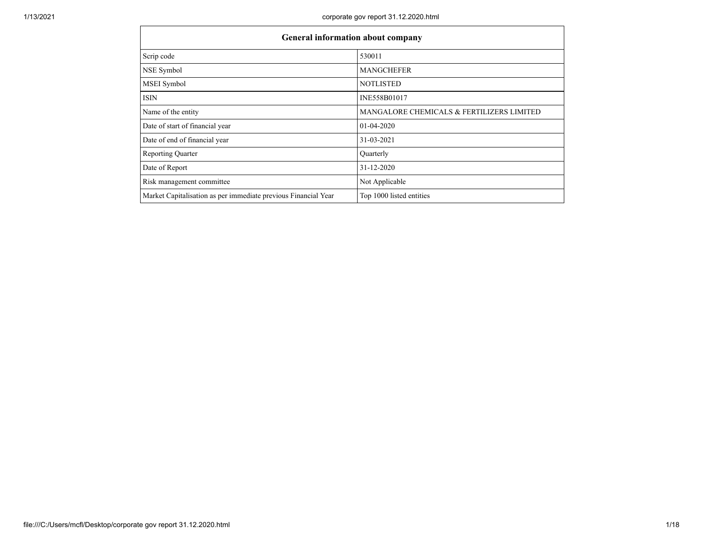ा

| General information about company                              |                                           |
|----------------------------------------------------------------|-------------------------------------------|
| Scrip code                                                     | 530011                                    |
| NSE Symbol                                                     | <b>MANGCHEFER</b>                         |
| MSEI Symbol                                                    | <b>NOTLISTED</b>                          |
| <b>ISIN</b>                                                    | INE558B01017                              |
| Name of the entity                                             | MANGALORE CHEMICALS & FERTILIZERS LIMITED |
| Date of start of financial year                                | $01-04-2020$                              |
| Date of end of financial year                                  | 31-03-2021                                |
| <b>Reporting Quarter</b>                                       | Quarterly                                 |
| Date of Report                                                 | $31 - 12 - 2020$                          |
| Risk management committee                                      | Not Applicable                            |
| Market Capitalisation as per immediate previous Financial Year | Top 1000 listed entities                  |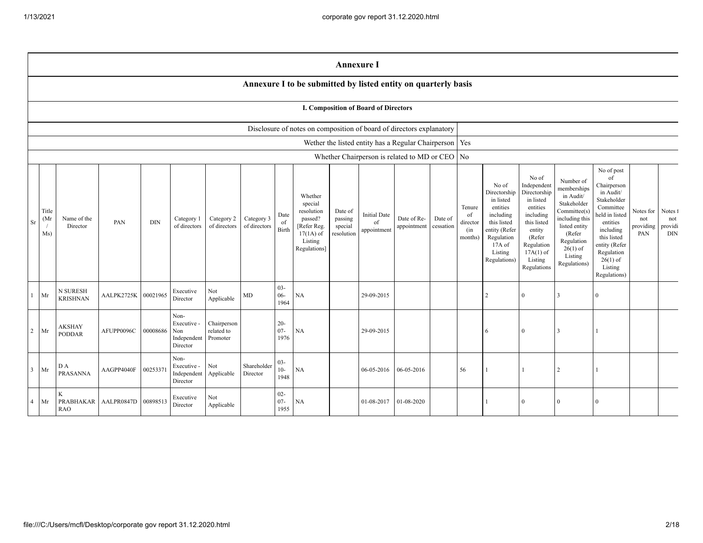|                         | <b>Annexure I</b>                                                                                                                                                                                                                                                                                                                                                                                                                              |                             |                     |          |                                                       |                                       |                         |                                            |                                                                                                                                                |                                                                                                                                                                      |                                                                                                                                                                          |                                                                                                                                                                                                            |                                      |                                         |                |                |                |                |  |  |
|-------------------------|------------------------------------------------------------------------------------------------------------------------------------------------------------------------------------------------------------------------------------------------------------------------------------------------------------------------------------------------------------------------------------------------------------------------------------------------|-----------------------------|---------------------|----------|-------------------------------------------------------|---------------------------------------|-------------------------|--------------------------------------------|------------------------------------------------------------------------------------------------------------------------------------------------|----------------------------------------------------------------------------------------------------------------------------------------------------------------------|--------------------------------------------------------------------------------------------------------------------------------------------------------------------------|------------------------------------------------------------------------------------------------------------------------------------------------------------------------------------------------------------|--------------------------------------|-----------------------------------------|----------------|----------------|----------------|----------------|--|--|
|                         | Annexure I to be submitted by listed entity on quarterly basis                                                                                                                                                                                                                                                                                                                                                                                 |                             |                     |          |                                                       |                                       |                         |                                            |                                                                                                                                                |                                                                                                                                                                      |                                                                                                                                                                          |                                                                                                                                                                                                            |                                      |                                         |                |                |                |                |  |  |
|                         | I. Composition of Board of Directors                                                                                                                                                                                                                                                                                                                                                                                                           |                             |                     |          |                                                       |                                       |                         |                                            |                                                                                                                                                |                                                                                                                                                                      |                                                                                                                                                                          |                                                                                                                                                                                                            |                                      |                                         |                |                |                |                |  |  |
|                         |                                                                                                                                                                                                                                                                                                                                                                                                                                                |                             |                     |          |                                                       |                                       |                         |                                            | Disclosure of notes on composition of board of directors explanatory                                                                           |                                                                                                                                                                      |                                                                                                                                                                          |                                                                                                                                                                                                            |                                      |                                         |                |                |                |                |  |  |
|                         |                                                                                                                                                                                                                                                                                                                                                                                                                                                |                             |                     |          |                                                       |                                       |                         |                                            |                                                                                                                                                |                                                                                                                                                                      | Wether the listed entity has a Regular Chairperson   Yes                                                                                                                 |                                                                                                                                                                                                            |                                      |                                         |                |                |                |                |  |  |
|                         |                                                                                                                                                                                                                                                                                                                                                                                                                                                |                             |                     |          |                                                       |                                       |                         |                                            |                                                                                                                                                |                                                                                                                                                                      | Whether Chairperson is related to MD or CEO No                                                                                                                           |                                                                                                                                                                                                            |                                      |                                         |                |                |                |                |  |  |
| Sr                      | Whether<br>special<br>Title<br>resolution<br>Date of<br><b>Initial Date</b><br>Date<br>(Mr)<br>Category 3<br>passed?<br>passing<br>Date of Re-<br>Name of the<br>Category 2<br>Date of<br>Category 1<br><b>DIN</b><br>PAN<br>of<br>of<br>of directors<br>of directors<br>of directors<br>special<br>appointment<br>Director<br>[Refer Reg.<br>cessation<br>Birth<br>appointment<br>resolution<br>Ms)<br>$17(1A)$ of<br>Listing<br>Regulations] |                             |                     |          |                                                       |                                       |                         | Tenure<br>of<br>director<br>(in<br>months) | No of<br>Directorship<br>in listed<br>entities<br>including<br>this listed<br>entity (Refer<br>Regulation<br>17A of<br>Listing<br>Regulations) | No of<br>Independent<br>Directorship<br>in listed<br>entities<br>including<br>this listed<br>entity<br>(Refer<br>Regulation<br>$17A(1)$ of<br>Listing<br>Regulations | Number of<br>memberships<br>in Audit/<br>Stakeholder<br>Committee(s)<br>including this<br>listed entity<br>(Refer<br>Regulation<br>$26(1)$ of<br>Listing<br>Regulations) | No of post<br>of<br>Chairperson<br>in Audit/<br>Stakeholder<br>Committee<br>held in listed<br>entities<br>including<br>this listed<br>entity (Refer<br>Regulation<br>$26(1)$ of<br>Listing<br>Regulations) | Notes for<br>not<br>providing<br>PAN | Notes 1<br>not<br>providi<br><b>DIN</b> |                |                |                |                |  |  |
| 1                       | Mr                                                                                                                                                                                                                                                                                                                                                                                                                                             | N SURESH<br><b>KRISHNAN</b> | AALPK2725K 00021965 |          | Executive<br>Director                                 | Not<br>Applicable                     | MD                      | $03 -$<br>$06 -$<br>1964                   | NA                                                                                                                                             |                                                                                                                                                                      | 29-09-2015                                                                                                                                                               |                                                                                                                                                                                                            |                                      |                                         | $\overline{2}$ | $\overline{0}$ | 3              | $\overline{0}$ |  |  |
| 2                       | Mr                                                                                                                                                                                                                                                                                                                                                                                                                                             | AKSHAY<br>PODDAR            | AFUPP0096C          | 00008686 | Non-<br>Executive -<br>Non<br>Independent<br>Director | Chairperson<br>related to<br>Promoter |                         | $20 -$<br>$07 -$<br>1976                   | <b>NA</b>                                                                                                                                      |                                                                                                                                                                      | 29-09-2015                                                                                                                                                               |                                                                                                                                                                                                            |                                      |                                         | 6              | $\overline{0}$ | 3              |                |  |  |
| $\overline{\mathbf{3}}$ | Mr                                                                                                                                                                                                                                                                                                                                                                                                                                             | DА<br>PRASANNA              | AAGPP4040F          | 00253371 | Non-<br>Executive -<br>Independent<br>Director        | Not<br>Applicable                     | Shareholder<br>Director | $03 -$<br>$10-$<br>1948                    | <b>NA</b>                                                                                                                                      |                                                                                                                                                                      | 06-05-2016                                                                                                                                                               | 06-05-2016                                                                                                                                                                                                 |                                      | 56                                      |                |                | $\overline{2}$ |                |  |  |
| $\overline{4}$          | Mr                                                                                                                                                                                                                                                                                                                                                                                                                                             | PRABHAKAR<br><b>RAO</b>     | AALPR0847D 00898513 |          | Executive<br>Director                                 | Not<br>Applicable                     |                         | $02 -$<br>$07 -$<br>1955                   | NA                                                                                                                                             |                                                                                                                                                                      | 01-08-2017                                                                                                                                                               | 01-08-2020                                                                                                                                                                                                 |                                      |                                         |                | $\overline{0}$ | $\Omega$       | $\Omega$       |  |  |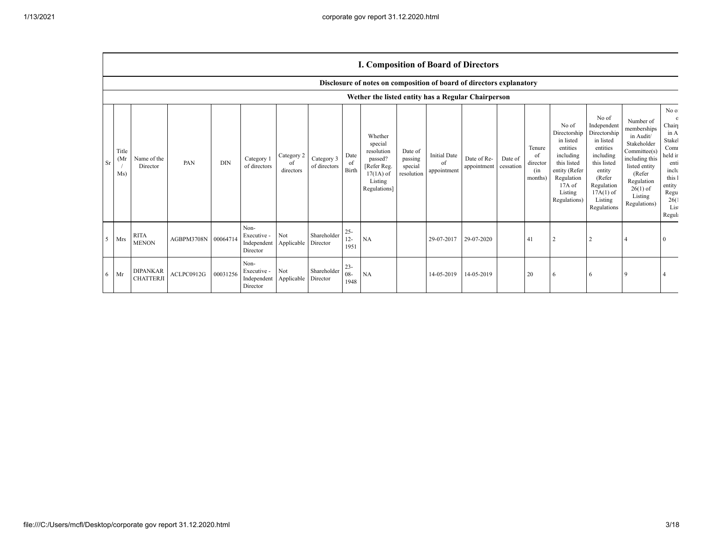## **I. Composition of Board of Directors**

|    |                     |                                     |            |            |                                                |                               |                            |                          | Disclosure of notes on composition of board of directors explanatory                                 |                                             |                                          |                            |                      |                                            |                                                                                                                                                |                                                                                                                                                                      |                                                                                                                                                                          |                                                                                                                                         |
|----|---------------------|-------------------------------------|------------|------------|------------------------------------------------|-------------------------------|----------------------------|--------------------------|------------------------------------------------------------------------------------------------------|---------------------------------------------|------------------------------------------|----------------------------|----------------------|--------------------------------------------|------------------------------------------------------------------------------------------------------------------------------------------------|----------------------------------------------------------------------------------------------------------------------------------------------------------------------|--------------------------------------------------------------------------------------------------------------------------------------------------------------------------|-----------------------------------------------------------------------------------------------------------------------------------------|
|    |                     |                                     |            |            |                                                |                               |                            |                          | Wether the listed entity has a Regular Chairperson                                                   |                                             |                                          |                            |                      |                                            |                                                                                                                                                |                                                                                                                                                                      |                                                                                                                                                                          |                                                                                                                                         |
| Sr | Title<br>(Mr<br>Ms) | Name of the<br>Director             | PAN        | <b>DIN</b> | Category 1<br>of directors                     | Category 2<br>of<br>directors | Category 3<br>of directors | Date<br>0t<br>Birth      | Whether<br>special<br>resolution<br>passed?<br>[Refer Reg.<br>$17(1A)$ of<br>Listing<br>Regulations] | Date of<br>passing<br>special<br>resolution | <b>Initial Date</b><br>of<br>appointment | Date of Re-<br>appointment | Date of<br>cessation | Tenure<br>of<br>director<br>(in<br>months) | No of<br>Directorship<br>in listed<br>entities<br>including<br>this listed<br>entity (Refer<br>Regulation<br>17A of<br>Listing<br>Regulations) | No of<br>Independent<br>Directorship<br>in listed<br>entities<br>including<br>this listed<br>entity<br>(Refer<br>Regulation<br>$17A(1)$ of<br>Listing<br>Regulations | Number of<br>memberships<br>in Audit/<br>Stakeholder<br>Committee(s)<br>including this<br>listed entity<br>(Refer<br>Regulation<br>$26(1)$ of<br>Listing<br>Regulations) | No of<br>$\Omega$<br>Chair<br>in A<br>Stakel<br>Comr<br>held in<br>enti<br>inclu<br>this 1<br>entity<br>Regu<br>26(1)<br>List<br>Regula |
| 5  | Mrs                 | <b>RITA</b><br><b>MENON</b>         | AGBPM3708N | 00064714   | Non-<br>Executive -<br>Independent<br>Director | Not<br>Applicable             | Shareholder<br>Director    | $25 -$<br>$12 -$<br>1951 | <b>NA</b>                                                                                            |                                             | 29-07-2017                               | 29-07-2020                 |                      | 41                                         |                                                                                                                                                |                                                                                                                                                                      |                                                                                                                                                                          |                                                                                                                                         |
| 6  | Mr                  | <b>DIPANKAR</b><br><b>CHATTERJI</b> | ACLPC0912G | 00031256   | Non-<br>Executive -<br>Independent<br>Director | Not<br>Applicable             | Shareholder<br>Director    | $23 -$<br>$08 -$<br>1948 | NA                                                                                                   |                                             | 14-05-2019                               | 14-05-2019                 |                      | 20                                         | 6                                                                                                                                              |                                                                                                                                                                      |                                                                                                                                                                          |                                                                                                                                         |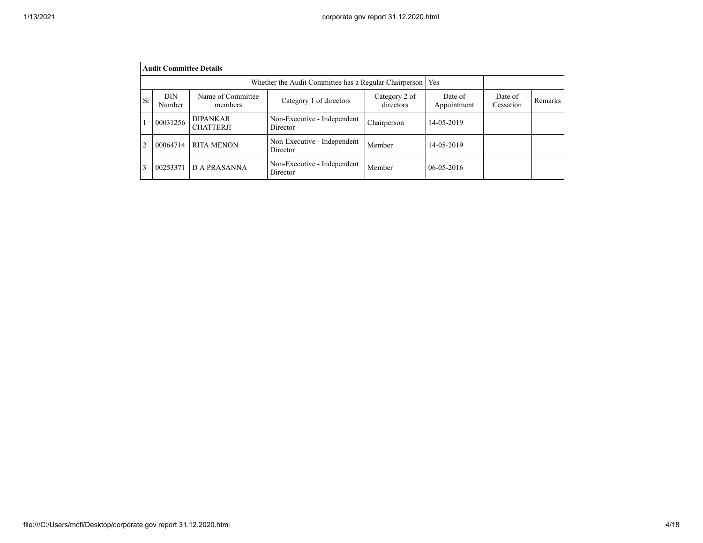|                | <b>Audit Committee Details</b>                                                                                                                                                    |                                     |                                         |             |                  |  |  |  |  |  |  |  |
|----------------|-----------------------------------------------------------------------------------------------------------------------------------------------------------------------------------|-------------------------------------|-----------------------------------------|-------------|------------------|--|--|--|--|--|--|--|
|                | Whether the Audit Committee has a Regular Chairperson<br>Yes                                                                                                                      |                                     |                                         |             |                  |  |  |  |  |  |  |  |
| <b>Sr</b>      | Name of Committee<br><b>DIN</b><br>Category 2 of<br>Date of<br>Date of<br>Category 1 of directors<br>Remarks<br>directors<br>Cessation<br>Appointment<br><b>Number</b><br>members |                                     |                                         |             |                  |  |  |  |  |  |  |  |
|                | 00031256                                                                                                                                                                          | <b>DIPANKAR</b><br><b>CHATTERJI</b> | Non-Executive - Independent<br>Director | Chairperson | 14-05-2019       |  |  |  |  |  |  |  |
| $\overline{c}$ | 00064714                                                                                                                                                                          | <b>RITA MENON</b>                   | Non-Executive - Independent<br>Director | Member      | 14-05-2019       |  |  |  |  |  |  |  |
| 3              | 00253371                                                                                                                                                                          | <b>DA PRASANNA</b>                  | Non-Executive - Independent<br>Director | Member      | $06 - 05 - 2016$ |  |  |  |  |  |  |  |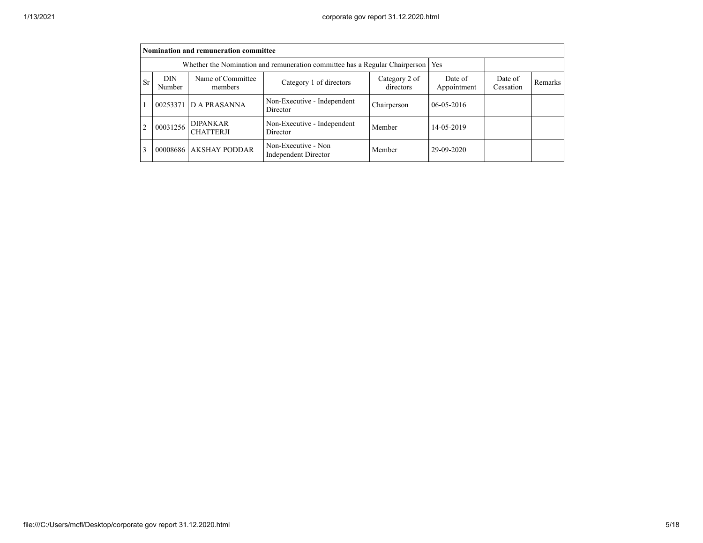|           | Nomination and remuneration committee                                       |                                     |                                                    |             |                  |  |  |  |  |  |  |  |
|-----------|-----------------------------------------------------------------------------|-------------------------------------|----------------------------------------------------|-------------|------------------|--|--|--|--|--|--|--|
|           | Whether the Nomination and remuneration committee has a Regular Chairperson |                                     |                                                    |             |                  |  |  |  |  |  |  |  |
| <b>Sr</b> | <b>DIN</b><br>Number                                                        | Date of<br>Cessation                | Remarks                                            |             |                  |  |  |  |  |  |  |  |
|           |                                                                             | 00253371 D A PRASANNA               | Non-Executive - Independent<br>Director            | Chairperson | $06 - 05 - 2016$ |  |  |  |  |  |  |  |
| 2         | 00031256                                                                    | <b>DIPANKAR</b><br><b>CHATTERJI</b> | Non-Executive - Independent<br>Director            | Member      | 14-05-2019       |  |  |  |  |  |  |  |
| 3         |                                                                             | 00008686 AKSHAY PODDAR              | Non-Executive - Non<br><b>Independent Director</b> | Member      | 29-09-2020       |  |  |  |  |  |  |  |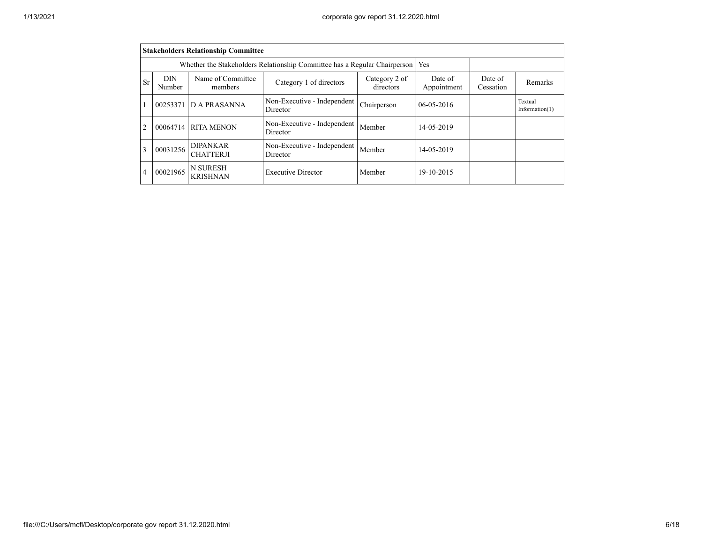|                | <b>Stakeholders Relationship Committee</b> |                                                                           |                                         |                        |                              |         |  |  |  |  |  |  |
|----------------|--------------------------------------------|---------------------------------------------------------------------------|-----------------------------------------|------------------------|------------------------------|---------|--|--|--|--|--|--|
|                |                                            | Whether the Stakeholders Relationship Committee has a Regular Chairperson | Yes                                     |                        |                              |         |  |  |  |  |  |  |
| Sr             | DIN<br>Number                              | Name of Committee<br>members                                              | Category 2 of<br>directors              | Date of<br>Appointment | Date of<br>Cessation         | Remarks |  |  |  |  |  |  |
|                | 00253371                                   | D A PRASANNA                                                              | $06 - 05 - 2016$                        |                        | Textual<br>Information $(1)$ |         |  |  |  |  |  |  |
| $\overline{2}$ |                                            | 00064714 RITA MENON                                                       | Non-Executive - Independent<br>Director | Member                 | 14-05-2019                   |         |  |  |  |  |  |  |
| 3              | 00031256                                   | <b>DIPANKAR</b><br><b>CHATTERJI</b>                                       | Member                                  | 14-05-2019             |                              |         |  |  |  |  |  |  |
| 4              | 00021965                                   | N SURESH<br><b>KRISHNAN</b>                                               | 19-10-2015                              |                        |                              |         |  |  |  |  |  |  |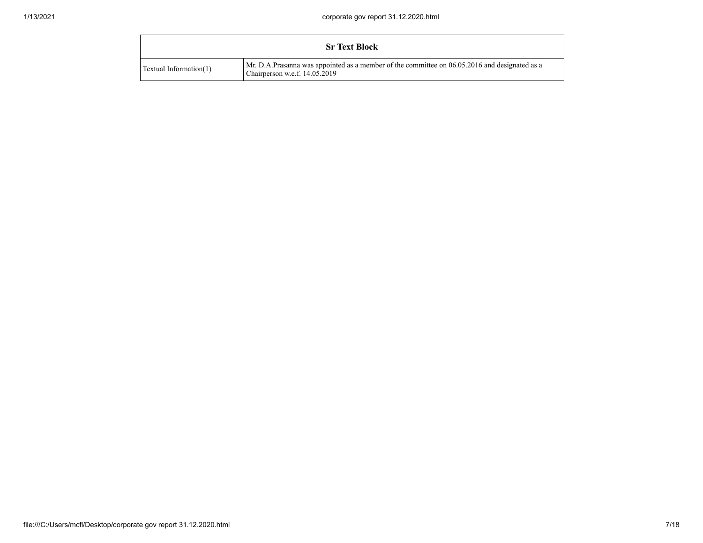|                           | <b>Sr Text Block</b>                                                                                                           |
|---------------------------|--------------------------------------------------------------------------------------------------------------------------------|
| Textual Information $(1)$ | Mr. D.A.Prasanna was appointed as a member of the committee on 06.05.2016 and designated as a<br>Chairperson w.e.f. 14.05.2019 |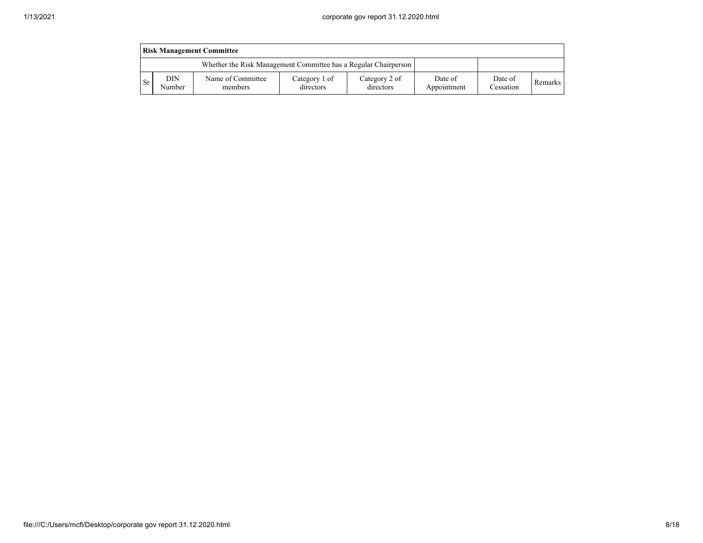| <b>Risk Management Committee</b>                                |               |                              |                            |                            |                        |                      |         |  |  |  |  |
|-----------------------------------------------------------------|---------------|------------------------------|----------------------------|----------------------------|------------------------|----------------------|---------|--|--|--|--|
| Whether the Risk Management Committee has a Regular Chairperson |               |                              |                            |                            |                        |                      |         |  |  |  |  |
| -Sr                                                             | DIN<br>Number | Name of Committee<br>members | Category 1 of<br>directors | Category 2 of<br>directors | Date of<br>Appointment | Date of<br>Cessation | Remarks |  |  |  |  |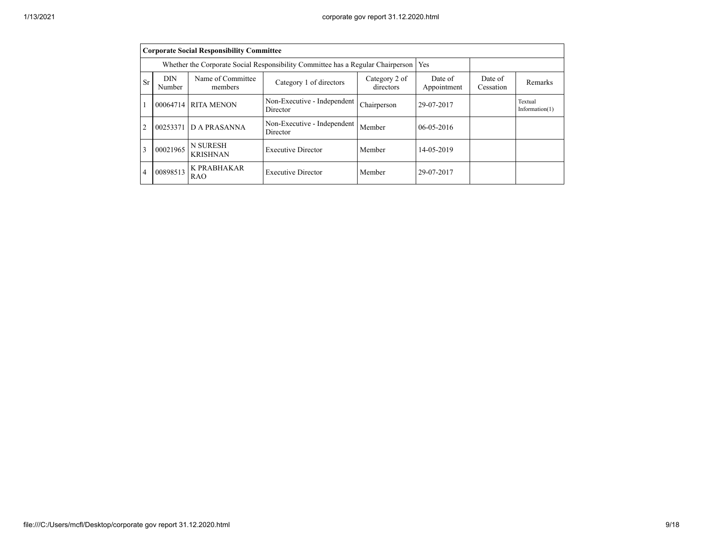|                | <b>Corporate Social Responsibility Committee</b>                                           |                                                                                 |                                         |                        |                              |         |  |  |  |  |  |  |
|----------------|--------------------------------------------------------------------------------------------|---------------------------------------------------------------------------------|-----------------------------------------|------------------------|------------------------------|---------|--|--|--|--|--|--|
|                |                                                                                            | Whether the Corporate Social Responsibility Committee has a Regular Chairperson | Yes                                     |                        |                              |         |  |  |  |  |  |  |
| Sr             | DIN<br>Number                                                                              | Name of Committee<br>members                                                    | Category 2 of<br>directors              | Date of<br>Appointment | Date of<br>Cessation         | Remarks |  |  |  |  |  |  |
|                |                                                                                            | 00064714 RITA MENON                                                             | 29-07-2017                              |                        | Textual<br>Information $(1)$ |         |  |  |  |  |  |  |
| $\overline{2}$ | 00253371                                                                                   | <b>D A PRASANNA</b>                                                             | Non-Executive - Independent<br>Director | Member                 | $06 - 05 - 2016$             |         |  |  |  |  |  |  |
| 3              | 00021965                                                                                   | N SURESH<br><b>KRISHNAN</b>                                                     | Member                                  | 14-05-2019             |                              |         |  |  |  |  |  |  |
| 4              | K PRABHAKAR<br>00898513<br><b>Executive Director</b><br>Member<br>29-07-2017<br><b>RAO</b> |                                                                                 |                                         |                        |                              |         |  |  |  |  |  |  |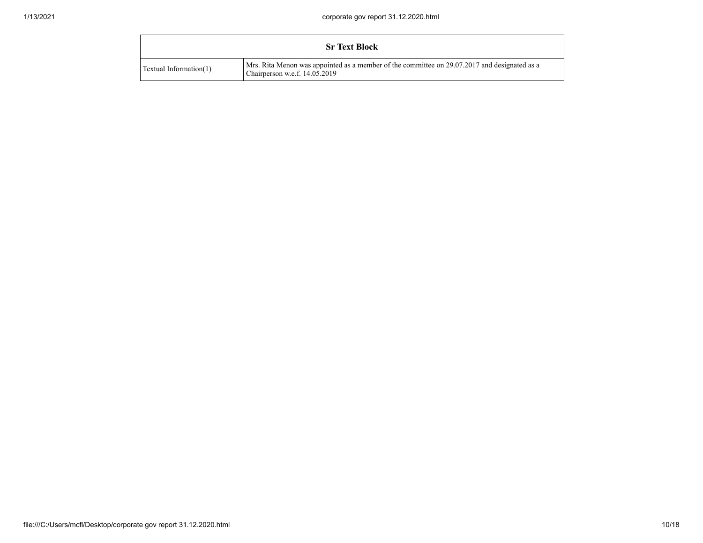|                        | <b>Sr Text Block</b>                                                                                                          |
|------------------------|-------------------------------------------------------------------------------------------------------------------------------|
| Textual Information(1) | Mrs. Rita Menon was appointed as a member of the committee on 29.07.2017 and designated as a<br>Chairperson w.e.f. 14.05.2019 |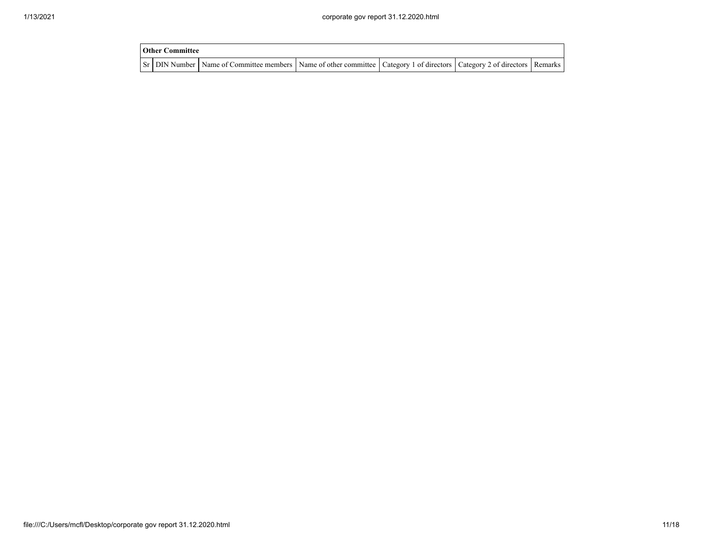| <b>Other Committee</b> |                                                                                                                                     |  |  |
|------------------------|-------------------------------------------------------------------------------------------------------------------------------------|--|--|
|                        | Sr   DIN Number   Name of Committee members   Name of other committee   Category 1 of directors   Category 2 of directors   Remarks |  |  |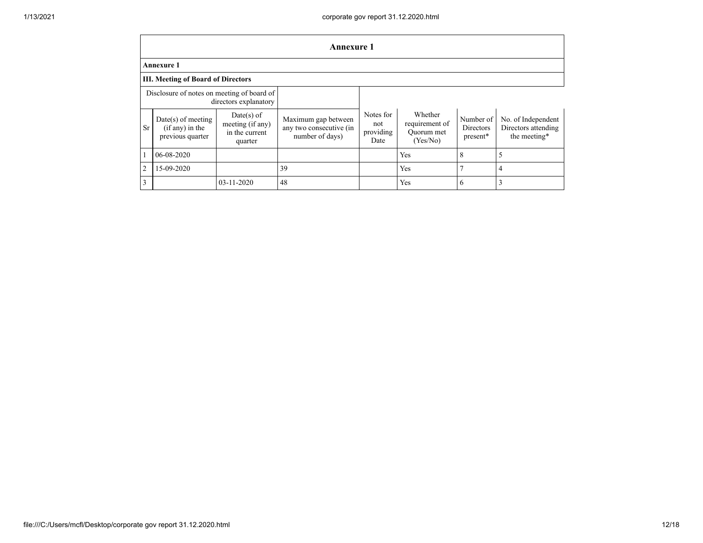|                                                                     | <b>Annexure 1</b>                                             |                                                             |                                                                   |                                       |                                                     |                                    |                                                           |  |  |  |  |  |
|---------------------------------------------------------------------|---------------------------------------------------------------|-------------------------------------------------------------|-------------------------------------------------------------------|---------------------------------------|-----------------------------------------------------|------------------------------------|-----------------------------------------------------------|--|--|--|--|--|
|                                                                     | <b>Annexure 1</b>                                             |                                                             |                                                                   |                                       |                                                     |                                    |                                                           |  |  |  |  |  |
|                                                                     | <b>III. Meeting of Board of Directors</b>                     |                                                             |                                                                   |                                       |                                                     |                                    |                                                           |  |  |  |  |  |
| Disclosure of notes on meeting of board of<br>directors explanatory |                                                               |                                                             |                                                                   |                                       |                                                     |                                    |                                                           |  |  |  |  |  |
| <b>Sr</b>                                                           | $Date(s)$ of meeting<br>$(if any)$ in the<br>previous quarter | Date(s) of<br>meeting (if any)<br>in the current<br>quarter | Maximum gap between<br>any two consecutive (in<br>number of days) | Notes for<br>not<br>providing<br>Date | Whether<br>requirement of<br>Quorum met<br>(Yes/No) | Number of<br>Directors<br>present* | No. of Independent<br>Directors attending<br>the meeting* |  |  |  |  |  |
|                                                                     | 06-08-2020                                                    |                                                             |                                                                   |                                       | Yes                                                 | 8                                  |                                                           |  |  |  |  |  |
| $\overline{2}$                                                      | 15-09-2020                                                    |                                                             | 39                                                                |                                       | Yes                                                 | $\mathbf{r}$                       | 4                                                         |  |  |  |  |  |
| 3                                                                   |                                                               | 03-11-2020                                                  | 48                                                                |                                       | Yes                                                 | 6                                  |                                                           |  |  |  |  |  |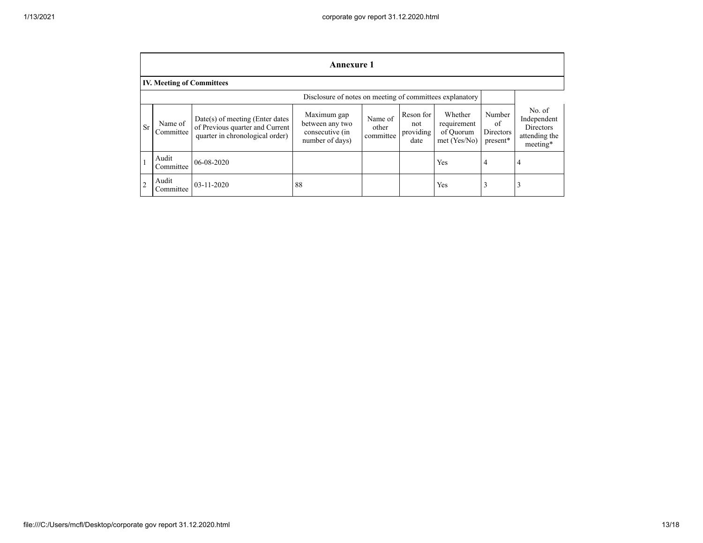|                                                          | <b>Annexure 1</b>                |                                                                                                         |                                                                      |                               |                                       |                                                       |                                       |                                                                 |
|----------------------------------------------------------|----------------------------------|---------------------------------------------------------------------------------------------------------|----------------------------------------------------------------------|-------------------------------|---------------------------------------|-------------------------------------------------------|---------------------------------------|-----------------------------------------------------------------|
|                                                          | <b>IV. Meeting of Committees</b> |                                                                                                         |                                                                      |                               |                                       |                                                       |                                       |                                                                 |
| Disclosure of notes on meeting of committees explanatory |                                  |                                                                                                         |                                                                      |                               |                                       |                                                       |                                       |                                                                 |
| Sr                                                       | Name of<br>Committee             | $Date(s)$ of meeting (Enter dates<br>of Previous quarter and Current<br>quarter in chronological order) | Maximum gap<br>between any two<br>consecutive (in<br>number of days) | Name of<br>other<br>committee | Reson for<br>not<br>providing<br>date | Whether<br>requirement<br>of Ouorum<br>met $(Yes/No)$ | Number<br>of<br>Directors<br>present* | No. of<br>Independent<br>Directors<br>attending the<br>meeting* |
|                                                          | Audit<br>Committee               | 06-08-2020                                                                                              |                                                                      |                               |                                       | Yes                                                   | 4                                     | 4                                                               |
| $\overline{2}$                                           | Audit<br>Committee               | $03 - 11 - 2020$                                                                                        | 88                                                                   |                               |                                       | Yes                                                   |                                       | 3                                                               |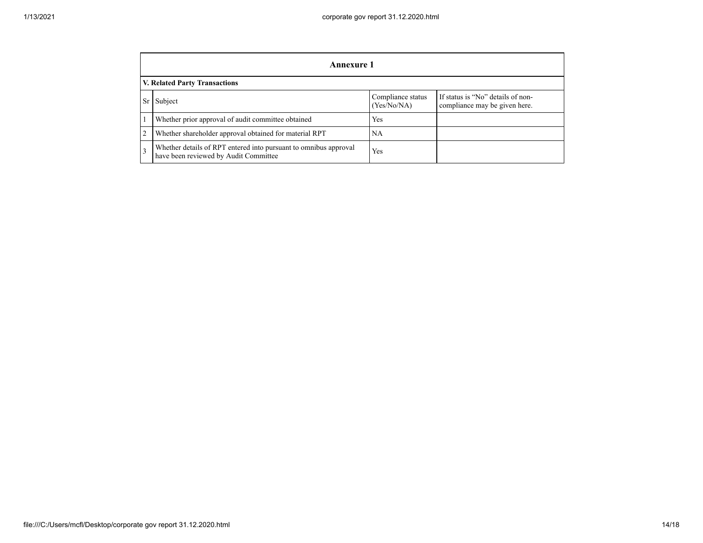|    | <b>Annexure 1</b>                                                                                         |                                  |                                                                    |  |  |
|----|-----------------------------------------------------------------------------------------------------------|----------------------------------|--------------------------------------------------------------------|--|--|
|    | V. Related Party Transactions                                                                             |                                  |                                                                    |  |  |
| Sr | Subject                                                                                                   | Compliance status<br>(Yes/No/NA) | If status is "No" details of non-<br>compliance may be given here. |  |  |
|    | Whether prior approval of audit committee obtained                                                        | Yes                              |                                                                    |  |  |
|    | Whether shareholder approval obtained for material RPT                                                    | <b>NA</b>                        |                                                                    |  |  |
| 3  | Whether details of RPT entered into pursuant to omnibus approval<br>have been reviewed by Audit Committee | Yes                              |                                                                    |  |  |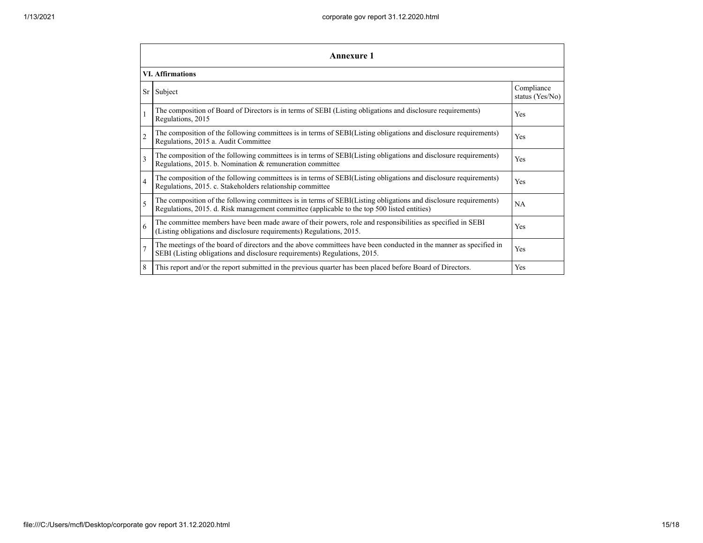| <b>Annexure 1</b>       |                                                                                                                                                                                                                 |                               |  |  |
|-------------------------|-----------------------------------------------------------------------------------------------------------------------------------------------------------------------------------------------------------------|-------------------------------|--|--|
| <b>VI.</b> Affirmations |                                                                                                                                                                                                                 |                               |  |  |
| Sr                      | Subject                                                                                                                                                                                                         | Compliance<br>status (Yes/No) |  |  |
|                         | The composition of Board of Directors is in terms of SEBI (Listing obligations and disclosure requirements)<br>Regulations, 2015                                                                                | Yes                           |  |  |
| $\overline{c}$          | The composition of the following committees is in terms of SEBI(Listing obligations and disclosure requirements)<br>Regulations, 2015 a. Audit Committee                                                        | Yes                           |  |  |
| 3                       | The composition of the following committees is in terms of SEBI(Listing obligations and disclosure requirements)<br>Regulations, 2015. b. Nomination & remuneration committee                                   | Yes                           |  |  |
| $\overline{4}$          | The composition of the following committees is in terms of SEBI(Listing obligations and disclosure requirements)<br>Regulations, 2015. c. Stakeholders relationship committee                                   | Yes                           |  |  |
| 5                       | The composition of the following committees is in terms of SEBI(Listing obligations and disclosure requirements)<br>Regulations, 2015. d. Risk management committee (applicable to the top 500 listed entities) | <b>NA</b>                     |  |  |
| 6                       | The committee members have been made aware of their powers, role and responsibilities as specified in SEBI<br>(Listing obligations and disclosure requirements) Regulations, 2015.                              | Yes                           |  |  |
| $\overline{7}$          | The meetings of the board of directors and the above committees have been conducted in the manner as specified in<br>SEBI (Listing obligations and disclosure requirements) Regulations, 2015.                  | Yes                           |  |  |
| 8                       | This report and/or the report submitted in the previous quarter has been placed before Board of Directors.                                                                                                      | Yes                           |  |  |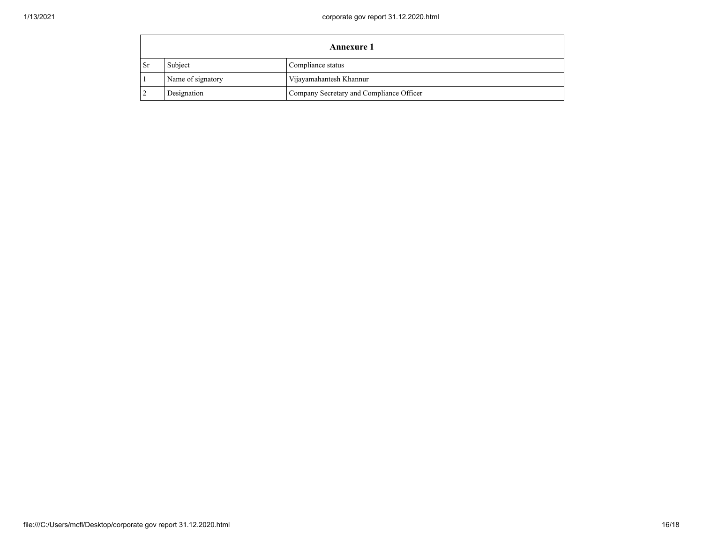| Annexure 1 |                   |                                          |
|------------|-------------------|------------------------------------------|
| ∣ Sr       | Subject           | Compliance status                        |
|            | Name of signatory | Vijayamahantesh Khannur                  |
|            | Designation       | Company Secretary and Compliance Officer |